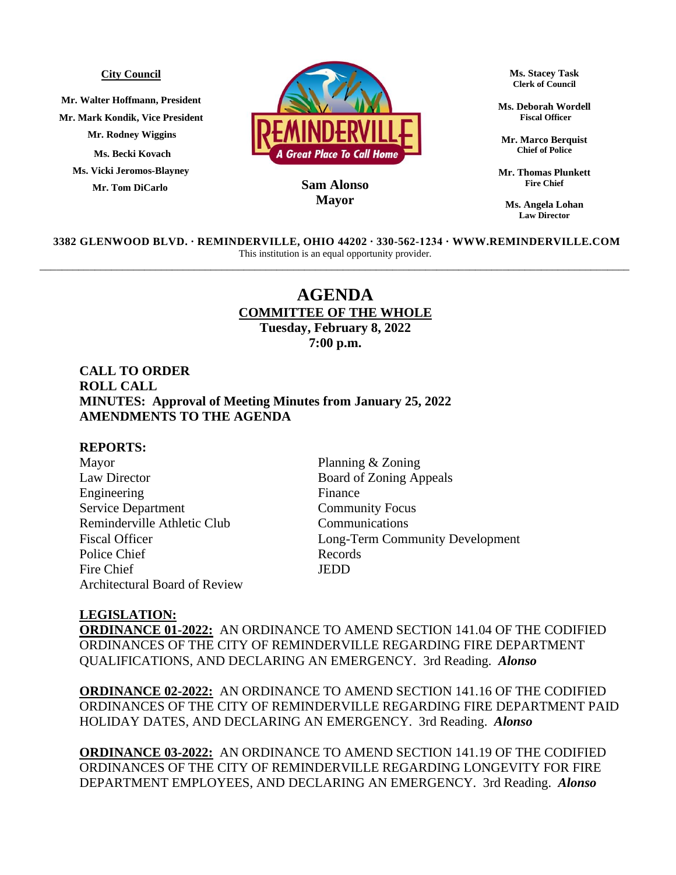#### **City Council**

**Mr. Walter Hoffmann, President Mr. Mark Kondik, Vice President Mr. Rodney Wiggins Ms. Becki Kovach Ms. Vicki Jeromos-Blayney Mr. Tom DiCarlo**



## **MayorSam Alonso**

**Ms. Stacey Task Clerk of Council**

**Ms. Deborah Wordell Fiscal Officer**

**Mr. Marco Berquist Chief of Police**

**Mr. Thomas Plunkett Fire Chief**

**Ms. Angela Lohan Law Director**

**3382 GLENWOOD BLVD. ∙ REMINDERVILLE, OHIO 44202 ∙ 330-562-1234 ∙ WWW.REMINDERVILLE.COM**  This institution is an equal opportunity provider. \_\_\_\_\_\_\_\_\_\_\_\_\_\_\_\_\_\_\_\_\_\_\_\_\_\_\_\_\_\_\_\_\_\_\_\_\_\_\_\_\_\_\_\_\_\_\_\_\_\_\_\_\_\_\_\_\_\_\_\_\_\_\_\_\_\_\_\_\_\_\_\_\_\_\_\_\_\_\_\_\_\_\_\_\_\_\_\_\_\_\_\_\_\_\_\_\_\_\_\_\_\_\_\_\_\_\_

# **AGENDA COMMITTEE OF THE WHOLE**

**Tuesday, February 8, 2022 7:00 p.m.**

# **CALL TO ORDER ROLL CALL MINUTES: Approval of Meeting Minutes from January 25, 2022 AMENDMENTS TO THE AGENDA**

### **REPORTS:**

Mayor Planning & Zoning Law Director Board of Zoning Appeals Engineering Finance Service Department Community Focus Reminderville Athletic Club Communications Police Chief Records Fire Chief JEDD Architectural Board of Review

Fiscal Officer Long-Term Community Development

#### **LEGISLATION:**

**ORDINANCE 01-2022:** AN ORDINANCE TO AMEND SECTION 141.04 OF THE CODIFIED ORDINANCES OF THE CITY OF REMINDERVILLE REGARDING FIRE DEPARTMENT QUALIFICATIONS, AND DECLARING AN EMERGENCY. 3rd Reading. *Alonso* 

**ORDINANCE 02-2022:** AN ORDINANCE TO AMEND SECTION 141.16 OF THE CODIFIED ORDINANCES OF THE CITY OF REMINDERVILLE REGARDING FIRE DEPARTMENT PAID HOLIDAY DATES, AND DECLARING AN EMERGENCY. 3rd Reading. *Alonso* 

**ORDINANCE 03-2022:** AN ORDINANCE TO AMEND SECTION 141.19 OF THE CODIFIED ORDINANCES OF THE CITY OF REMINDERVILLE REGARDING LONGEVITY FOR FIRE DEPARTMENT EMPLOYEES, AND DECLARING AN EMERGENCY. 3rd Reading. *Alonso*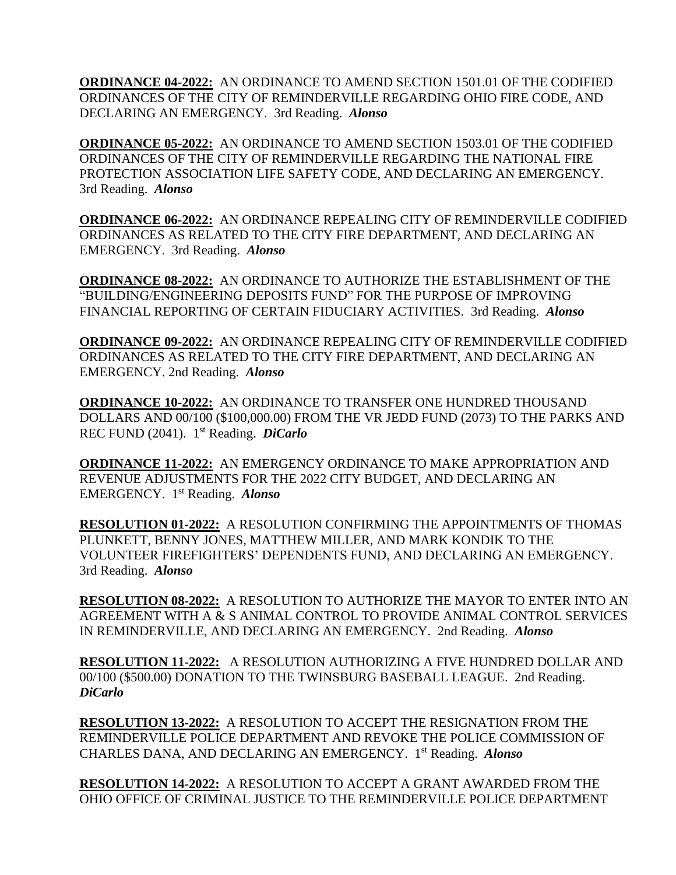**ORDINANCE 04-2022:** AN ORDINANCE TO AMEND SECTION 1501.01 OF THE CODIFIED ORDINANCES OF THE CITY OF REMINDERVILLE REGARDING OHIO FIRE CODE, AND DECLARING AN EMERGENCY. 3rd Reading. *Alonso* 

**ORDINANCE 05-2022:** AN ORDINANCE TO AMEND SECTION 1503.01 OF THE CODIFIED ORDINANCES OF THE CITY OF REMINDERVILLE REGARDING THE NATIONAL FIRE PROTECTION ASSOCIATION LIFE SAFETY CODE, AND DECLARING AN EMERGENCY. 3rd Reading. *Alonso* 

**ORDINANCE 06-2022:** AN ORDINANCE REPEALING CITY OF REMINDERVILLE CODIFIED ORDINANCES AS RELATED TO THE CITY FIRE DEPARTMENT, AND DECLARING AN EMERGENCY. 3rd Reading. *Alonso* 

**ORDINANCE 08-2022:** AN ORDINANCE TO AUTHORIZE THE ESTABLISHMENT OF THE "BUILDING/ENGINEERING DEPOSITS FUND" FOR THE PURPOSE OF IMPROVING FINANCIAL REPORTING OF CERTAIN FIDUCIARY ACTIVITIES. 3rd Reading. *Alonso* 

**ORDINANCE 09-2022:** AN ORDINANCE REPEALING CITY OF REMINDERVILLE CODIFIED ORDINANCES AS RELATED TO THE CITY FIRE DEPARTMENT, AND DECLARING AN EMERGENCY. 2nd Reading. *Alonso*

**ORDINANCE 10-2022:** AN ORDINANCE TO TRANSFER ONE HUNDRED THOUSAND DOLLARS AND 00/100 (\$100,000.00) FROM THE VR JEDD FUND (2073) TO THE PARKS AND REC FUND (2041). 1 st Reading. *DiCarlo*

**ORDINANCE 11-2022:** AN EMERGENCY ORDINANCE TO MAKE APPROPRIATION AND REVENUE ADJUSTMENTS FOR THE 2022 CITY BUDGET, AND DECLARING AN EMERGENCY. 1 st Reading. *Alonso*

**RESOLUTION 01-2022:** A RESOLUTION CONFIRMING THE APPOINTMENTS OF THOMAS PLUNKETT, BENNY JONES, MATTHEW MILLER, AND MARK KONDIK TO THE VOLUNTEER FIREFIGHTERS' DEPENDENTS FUND, AND DECLARING AN EMERGENCY. 3rd Reading. *Alonso* 

**RESOLUTION 08-2022:** A RESOLUTION TO AUTHORIZE THE MAYOR TO ENTER INTO AN AGREEMENT WITH A & S ANIMAL CONTROL TO PROVIDE ANIMAL CONTROL SERVICES IN REMINDERVILLE, AND DECLARING AN EMERGENCY. 2nd Reading. *Alonso*

**RESOLUTION 11-2022:** A RESOLUTION AUTHORIZING A FIVE HUNDRED DOLLAR AND 00/100 (\$500.00) DONATION TO THE TWINSBURG BASEBALL LEAGUE. 2nd Reading. *DiCarlo*

**RESOLUTION 13-2022:** A RESOLUTION TO ACCEPT THE RESIGNATION FROM THE REMINDERVILLE POLICE DEPARTMENT AND REVOKE THE POLICE COMMISSION OF CHARLES DANA, AND DECLARING AN EMERGENCY. 1 st Reading. *Alonso*

**RESOLUTION 14-2022:** A RESOLUTION TO ACCEPT A GRANT AWARDED FROM THE OHIO OFFICE OF CRIMINAL JUSTICE TO THE REMINDERVILLE POLICE DEPARTMENT